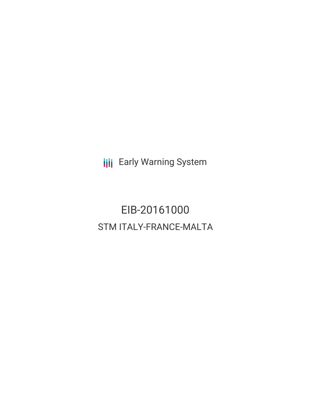**III** Early Warning System

EIB-20161000 STM ITALY-FRANCE-MALTA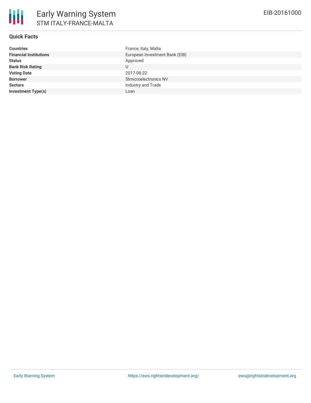# **Quick Facts**

| <b>Countries</b>              | France, Italy, Malta           |
|-------------------------------|--------------------------------|
| <b>Financial Institutions</b> | European Investment Bank (EIB) |
| <b>Status</b>                 | Approved                       |
| <b>Bank Risk Rating</b>       | U                              |
| <b>Voting Date</b>            | 2017-08-22                     |
| <b>Borrower</b>               | Stmicroelectronics NV          |
| <b>Sectors</b>                | Industry and Trade             |
| <b>Investment Type(s)</b>     | Loan                           |
|                               |                                |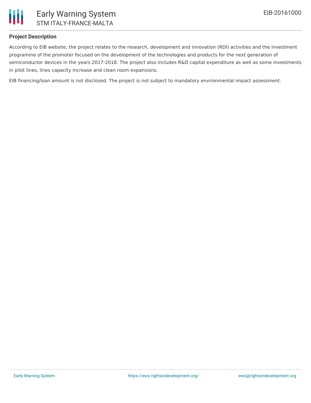

# **Project Description**

According to EIB website, the project relates to the research, development and innovation (RDI) activities and the investment programme of the promoter focused on the development of the technologies and products for the next generation of semiconductor devices in the years 2017-2018. The project also includes R&D capital expenditure as well as some investments in pilot lines, lines capacity increase and clean room expansions.

EIB financing/loan amount is not disclosed. The project is not subject to mandatory environmental impact assessment.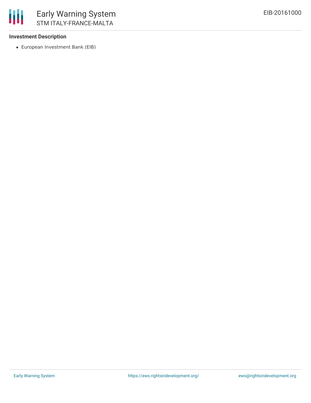

### **Investment Description**

European Investment Bank (EIB)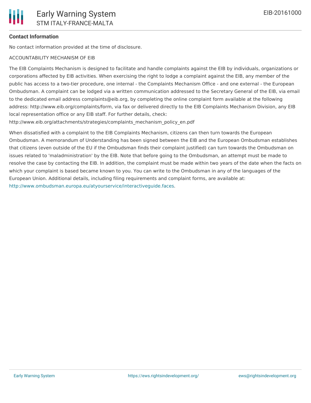## **Contact Information**

No contact information provided at the time of disclosure.

### ACCOUNTABILITY MECHANISM OF EIB

The EIB Complaints Mechanism is designed to facilitate and handle complaints against the EIB by individuals, organizations or corporations affected by EIB activities. When exercising the right to lodge a complaint against the EIB, any member of the public has access to a two-tier procedure, one internal - the Complaints Mechanism Office - and one external - the European Ombudsman. A complaint can be lodged via a written communication addressed to the Secretary General of the EIB, via email to the dedicated email address complaints@eib.org, by completing the online complaint form available at the following address: http://www.eib.org/complaints/form, via fax or delivered directly to the EIB Complaints Mechanism Division, any EIB local representation office or any EIB staff. For further details, check:

http://www.eib.org/attachments/strategies/complaints\_mechanism\_policy\_en.pdf

When dissatisfied with a complaint to the EIB Complaints Mechanism, citizens can then turn towards the European Ombudsman. A memorandum of Understanding has been signed between the EIB and the European Ombudsman establishes that citizens (even outside of the EU if the Ombudsman finds their complaint justified) can turn towards the Ombudsman on issues related to 'maladministration' by the EIB. Note that before going to the Ombudsman, an attempt must be made to resolve the case by contacting the EIB. In addition, the complaint must be made within two years of the date when the facts on which your complaint is based became known to you. You can write to the Ombudsman in any of the languages of the European Union. Additional details, including filing requirements and complaint forms, are available at: <http://www.ombudsman.europa.eu/atyourservice/interactiveguide.faces>.